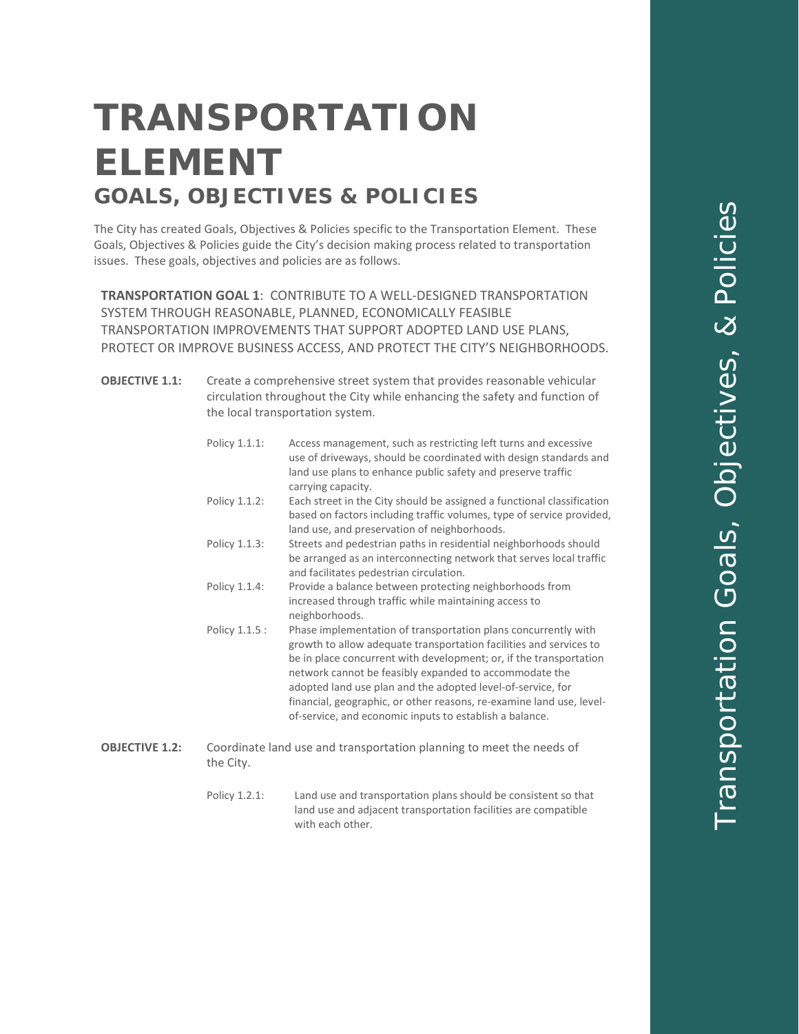## **TRANSPORTATION ELEMENT GOALS, OBJECTIVES & POLICIES**

The City has created Goals, Objectives & Policies specific to the Transportation Element. These Goals, Objectives & Policies guide the City's decision making process related to transportation issues. These goals, objectives and policies are as follows.

**TRANSPORTATION GOAL 1**: CONTRIBUTE TO A WELL-DESIGNED TRANSPORTATION SYSTEM THROUGH REASONABLE, PLANNED, ECONOMICALLY FEASIBLE TRANSPORTATION IMPROVEMENTS THAT SUPPORT ADOPTED LAND USE PLANS, PROTECT OR IMPROVE BUSINESS ACCESS, AND PROTECT THE CITY'S NEIGHBORHOODS.

| <b>OBJECTIVE 1.1:</b> | Create a comprehensive street system that provides reasonable vehicular    |
|-----------------------|----------------------------------------------------------------------------|
|                       | circulation throughout the City while enhancing the safety and function of |
|                       | the local transportation system.                                           |
|                       |                                                                            |

- Policy 1.1.1: Access management, such as restricting left turns and excessive use of driveways, should be coordinated with design standards and land use plans to enhance public safety and preserve traffic carrying capacity.
- Policy 1.1.2: Each street in the City should be assigned a functional classification based on factors including traffic volumes, type of service provided, land use, and preservation of neighborhoods.
- Policy 1.1.3: Streets and pedestrian paths in residential neighborhoods should be arranged as an interconnecting network that serves local traffic and facilitates pedestrian circulation.
- Policy 1.1.4: Provide a balance between protecting neighborhoods from increased through traffic while maintaining access to neighborhoods.
- Policy 1.1.5 : Phase implementation of transportation plans concurrently with growth to allow adequate transportation facilities and services to be in place concurrent with development; or, if the transportation network cannot be feasibly expanded to accommodate the adopted land use plan and the adopted level-of-service, for financial, geographic, or other reasons, re-examine land use, levelof-service, and economic inputs to establish a balance.
- **OBJECTIVE 1.2:** Coordinate land use and transportation planning to meet the needs of the City.
	- Policy 1.2.1: Land use and transportation plans should be consistent so that land use and adjacent transportation facilities are compatible with each other.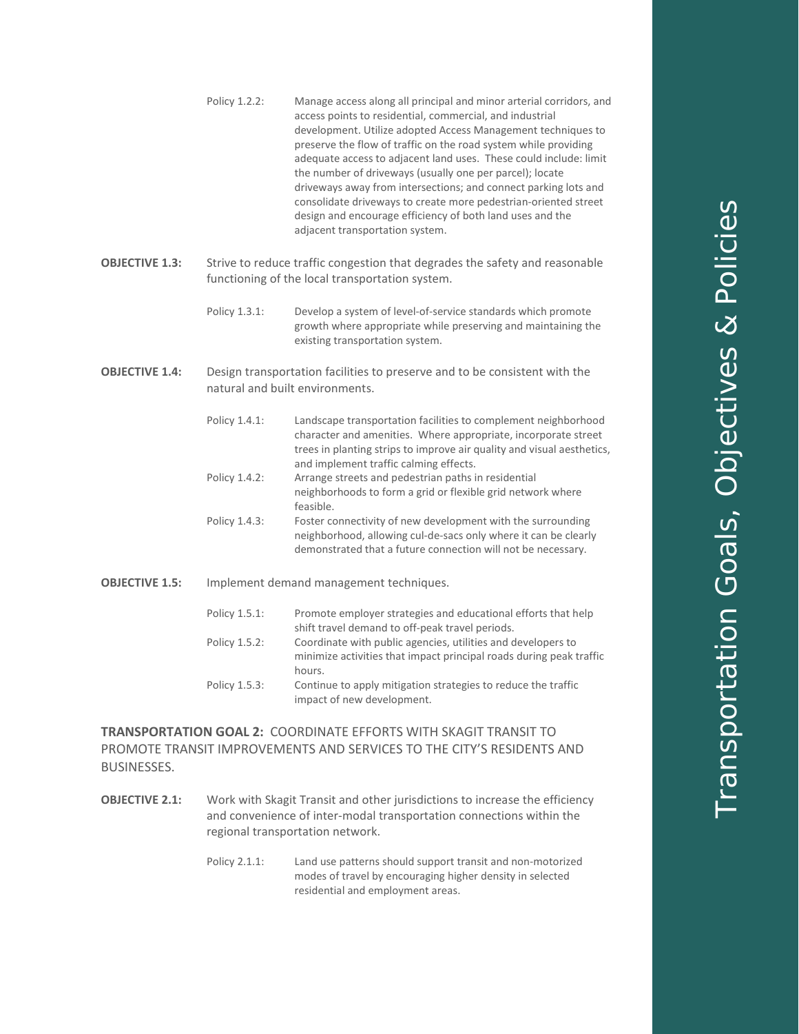|                       | Policy 1.2.2:                                                                                                                  | Manage access along all principal and minor arterial corridors, and<br>access points to residential, commercial, and industrial<br>development. Utilize adopted Access Management techniques to<br>preserve the flow of traffic on the road system while providing<br>adequate access to adjacent land uses. These could include: limit<br>the number of driveways (usually one per parcel); locate<br>driveways away from intersections; and connect parking lots and<br>consolidate driveways to create more pedestrian-oriented street<br>design and encourage efficiency of both land uses and the<br>adjacent transportation system. |  |  |
|-----------------------|--------------------------------------------------------------------------------------------------------------------------------|-------------------------------------------------------------------------------------------------------------------------------------------------------------------------------------------------------------------------------------------------------------------------------------------------------------------------------------------------------------------------------------------------------------------------------------------------------------------------------------------------------------------------------------------------------------------------------------------------------------------------------------------|--|--|
| <b>OBJECTIVE 1.3:</b> | Strive to reduce traffic congestion that degrades the safety and reasonable<br>functioning of the local transportation system. |                                                                                                                                                                                                                                                                                                                                                                                                                                                                                                                                                                                                                                           |  |  |
|                       | Policy 1.3.1:                                                                                                                  | Develop a system of level-of-service standards which promote<br>growth where appropriate while preserving and maintaining the<br>existing transportation system.                                                                                                                                                                                                                                                                                                                                                                                                                                                                          |  |  |
| <b>OBJECTIVE 1.4:</b> | Design transportation facilities to preserve and to be consistent with the<br>natural and built environments.                  |                                                                                                                                                                                                                                                                                                                                                                                                                                                                                                                                                                                                                                           |  |  |
|                       | Policy 1.4.1:                                                                                                                  | Landscape transportation facilities to complement neighborhood<br>character and amenities. Where appropriate, incorporate street<br>trees in planting strips to improve air quality and visual aesthetics,<br>and implement traffic calming effects.                                                                                                                                                                                                                                                                                                                                                                                      |  |  |
|                       | Policy 1.4.2:                                                                                                                  | Arrange streets and pedestrian paths in residential<br>neighborhoods to form a grid or flexible grid network where<br>feasible.                                                                                                                                                                                                                                                                                                                                                                                                                                                                                                           |  |  |
|                       | Policy 1.4.3:                                                                                                                  | Foster connectivity of new development with the surrounding<br>neighborhood, allowing cul-de-sacs only where it can be clearly<br>demonstrated that a future connection will not be necessary.                                                                                                                                                                                                                                                                                                                                                                                                                                            |  |  |
| <b>OBJECTIVE 1.5:</b> | Implement demand management techniques.                                                                                        |                                                                                                                                                                                                                                                                                                                                                                                                                                                                                                                                                                                                                                           |  |  |
|                       | Policy 1.5.1:                                                                                                                  | Promote employer strategies and educational efforts that help<br>shift travel demand to off-peak travel periods.                                                                                                                                                                                                                                                                                                                                                                                                                                                                                                                          |  |  |
|                       | Policy 1.5.2:                                                                                                                  | Coordinate with public agencies, utilities and developers to<br>minimize activities that impact principal roads during peak traffic<br>hours.                                                                                                                                                                                                                                                                                                                                                                                                                                                                                             |  |  |
|                       | Policy 1.5.3:                                                                                                                  | Continue to apply mitigation strategies to reduce the traffic<br>impact of new development.                                                                                                                                                                                                                                                                                                                                                                                                                                                                                                                                               |  |  |
|                       |                                                                                                                                |                                                                                                                                                                                                                                                                                                                                                                                                                                                                                                                                                                                                                                           |  |  |

**TRANSPORTATION GOAL 2:** COORDINATE EFFORTS WITH SKAGIT TRANSIT TO PROMOTE TRANSIT IMPROVEMENTS AND SERVICES TO THE CITY'S RESIDENTS AND BUSINESSES.

**OBJECTIVE 2.1:** Work with Skagit Transit and other jurisdictions to increase the efficiency and convenience of inter-modal transportation connections within the regional transportation network.

> Policy 2.1.1: Land use patterns should support transit and non-motorized modes of travel by encouraging higher density in selected residential and employment areas.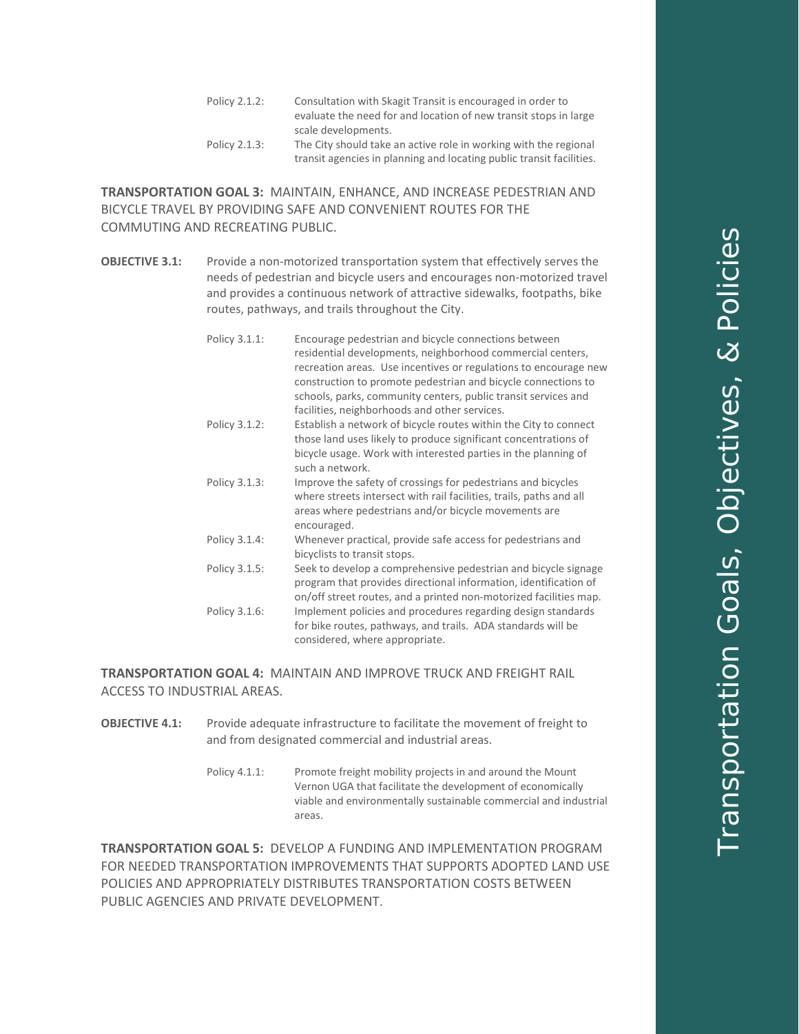- Policy 2.1.2: Consultation with Skagit Transit is encouraged in order to evaluate the need for and location of new transit stops in large scale developments. Policy 2.1.3: The City should take an active role in working with the regional
	- transit agencies in planning and locating public transit facilities.

**TRANSPORTATION GOAL 3:** MAINTAIN, ENHANCE, AND INCREASE PEDESTRIAN AND BICYCLE TRAVEL BY PROVIDING SAFE AND CONVENIENT ROUTES FOR THE COMMUTING AND RECREATING PUBLIC.

| <b>OBJECTIVE 3.1:</b> | Provide a non-motorized transportation system that effectively serves the<br>needs of pedestrian and bicycle users and encourages non-motorized travel<br>and provides a continuous network of attractive sidewalks, footpaths, bike<br>routes, pathways, and trails throughout the City. |                                                                                                                                                                                                                                                                                                                                                                            |  |  |
|-----------------------|-------------------------------------------------------------------------------------------------------------------------------------------------------------------------------------------------------------------------------------------------------------------------------------------|----------------------------------------------------------------------------------------------------------------------------------------------------------------------------------------------------------------------------------------------------------------------------------------------------------------------------------------------------------------------------|--|--|
|                       | Policy 3.1.1:                                                                                                                                                                                                                                                                             | Encourage pedestrian and bicycle connections between<br>residential developments, neighborhood commercial centers,<br>recreation areas. Use incentives or regulations to encourage new<br>construction to promote pedestrian and bicycle connections to<br>schools, parks, community centers, public transit services and<br>facilities, neighborhoods and other services. |  |  |
|                       | Policy 3.1.2:                                                                                                                                                                                                                                                                             | Establish a network of bicycle routes within the City to connect<br>those land uses likely to produce significant concentrations of<br>bicycle usage. Work with interested parties in the planning of<br>such a network.                                                                                                                                                   |  |  |
|                       | Policy 3.1.3:                                                                                                                                                                                                                                                                             | Improve the safety of crossings for pedestrians and bicycles<br>where streets intersect with rail facilities, trails, paths and all<br>areas where pedestrians and/or bicycle movements are<br>encouraged.                                                                                                                                                                 |  |  |
|                       | Policy 3.1.4:                                                                                                                                                                                                                                                                             | Whenever practical, provide safe access for pedestrians and<br>bicyclists to transit stops.                                                                                                                                                                                                                                                                                |  |  |
|                       | Policy 3.1.5:                                                                                                                                                                                                                                                                             | Seek to develop a comprehensive pedestrian and bicycle signage<br>program that provides directional information, identification of<br>on/off street routes, and a printed non-motorized facilities map.                                                                                                                                                                    |  |  |
|                       | Policy 3.1.6:                                                                                                                                                                                                                                                                             | Implement policies and procedures regarding design standards<br>for bike routes, pathways, and trails. ADA standards will be<br>considered, where appropriate.                                                                                                                                                                                                             |  |  |

**TRANSPORTATION GOAL 4:** MAINTAIN AND IMPROVE TRUCK AND FREIGHT RAIL ACCESS TO INDUSTRIAL AREAS.

- **OBJECTIVE 4.1:** Provide adequate infrastructure to facilitate the movement of freight to and from designated commercial and industrial areas.
	- Policy 4.1.1: Promote freight mobility projects in and around the Mount Vernon UGA that facilitate the development of economically viable and environmentally sustainable commercial and industrial areas.

**TRANSPORTATION GOAL 5:** DEVELOP A FUNDING AND IMPLEMENTATION PROGRAM FOR NEEDED TRANSPORTATION IMPROVEMENTS THAT SUPPORTS ADOPTED LAND USE POLICIES AND APPROPRIATELY DISTRIBUTES TRANSPORTATION COSTS BETWEEN PUBLIC AGENCIES AND PRIVATE DEVELOPMENT.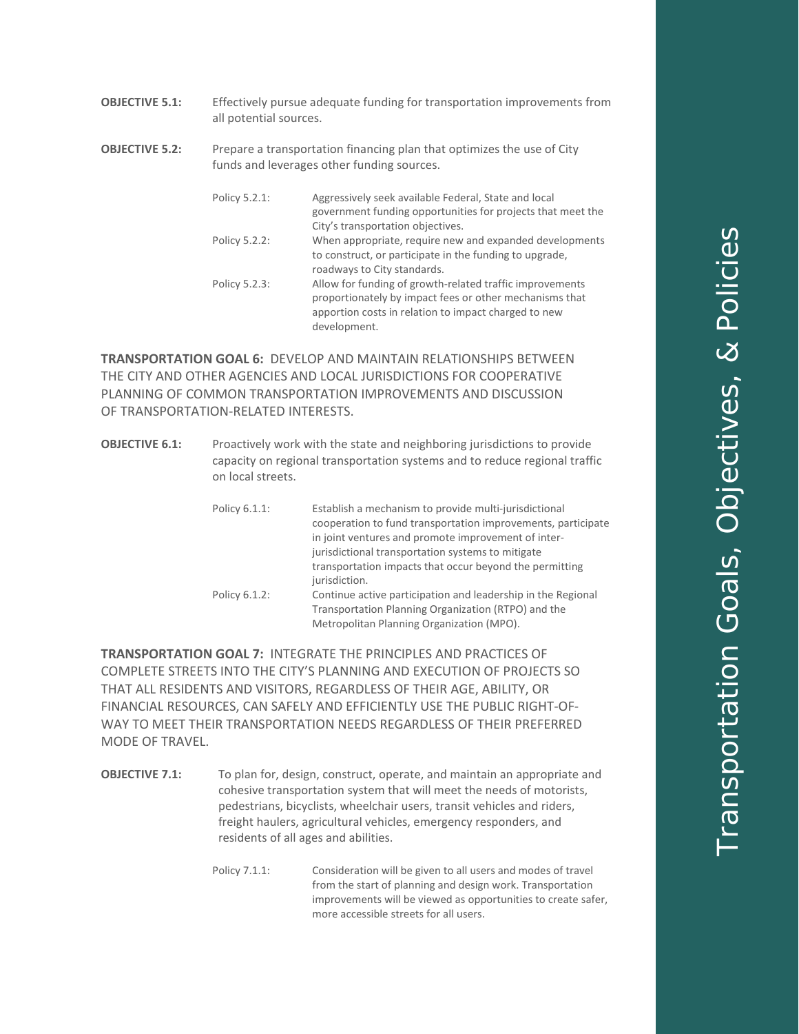- **OBJECTIVE 5.1:** Effectively pursue adequate funding for transportation improvements from all potential sources.
- **OBJECTIVE 5.2:** Prepare a transportation financing plan that optimizes the use of City funds and leverages other funding sources.
	- Policy 5.2.1: Aggressively seek available Federal, State and local government funding opportunities for projects that meet the City's transportation objectives. Policy 5.2.2: When appropriate, require new and expanded developments to construct, or participate in the funding to upgrade, roadways to City standards. Policy 5.2.3: Allow for funding of growth-related traffic improvements proportionately by impact fees or other mechanisms that apportion costs in relation to impact charged to new development.

**TRANSPORTATION GOAL 6:** DEVELOP AND MAINTAIN RELATIONSHIPS BETWEEN THE CITY AND OTHER AGENCIES AND LOCAL JURISDICTIONS FOR COOPERATIVE PLANNING OF COMMON TRANSPORTATION IMPROVEMENTS AND DISCUSSION OF TRANSPORTATION-RELATED INTERESTS.

**OBJECTIVE 6.1:** Proactively work with the state and neighboring jurisdictions to provide capacity on regional transportation systems and to reduce regional traffic on local streets.

| Policy 6.1.1: | Establish a mechanism to provide multi-jurisdictional        |
|---------------|--------------------------------------------------------------|
|               | cooperation to fund transportation improvements, participate |
|               | in joint ventures and promote improvement of inter-          |
|               | jurisdictional transportation systems to mitigate            |
|               | transportation impacts that occur beyond the permitting      |
|               | jurisdiction.                                                |
| Policy 6.1.2: | Continue active participation and leadership in the Regional |
|               | Transportation Planning Organization (RTPO) and the          |
|               | Metropolitan Planning Organization (MPO).                    |

**TRANSPORTATION GOAL 7:** INTEGRATE THE PRINCIPLES AND PRACTICES OF COMPLETE STREETS INTO THE CITY'S PLANNING AND EXECUTION OF PROJECTS SO THAT ALL RESIDENTS AND VISITORS, REGARDLESS OF THEIR AGE, ABILITY, OR FINANCIAL RESOURCES, CAN SAFELY AND EFFICIENTLY USE THE PUBLIC RIGHT-OF-WAY TO MEET THEIR TRANSPORTATION NEEDS REGARDLESS OF THEIR PREFERRED MODE OF TRAVEL.

- **OBJECTIVE 7.1:** To plan for, design, construct, operate, and maintain an appropriate and cohesive transportation system that will meet the needs of motorists, pedestrians, bicyclists, wheelchair users, transit vehicles and riders, freight haulers, agricultural vehicles, emergency responders, and residents of all ages and abilities.
	- Policy 7.1.1: Consideration will be given to all users and modes of travel from the start of planning and design work. Transportation improvements will be viewed as opportunities to create safer, more accessible streets for all users.